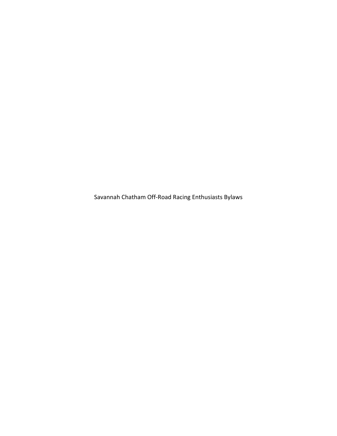Savannah Chatham Off-Road Racing Enthusiasts Bylaws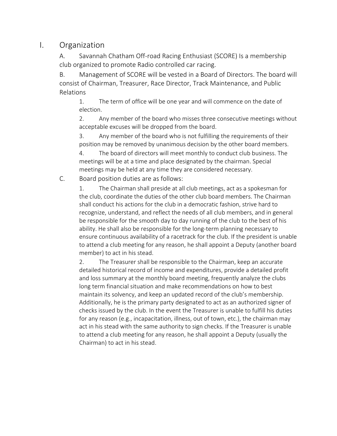# I. Organization

A. Savannah Chatham Off-road Racing Enthusiast (SCORE) Is a membership club organized to promote Radio controlled car racing.

B. Management of SCORE will be vested in a Board of Directors. The board will consist of Chairman, Treasurer, Race Director, Track Maintenance, and Public Relations

1. The term of office will be one year and will commence on the date of election.

2. Any member of the board who misses three consecutive meetings without acceptable excuses will be dropped from the board.

3. Any member of the board who is not fulfilling the requirements of their position may be removed by unanimous decision by the other board members.

4. The board of directors will meet monthly to conduct club business. The meetings will be at a time and place designated by the chairman. Special meetings may be held at any time they are considered necessary.

C. Board position duties are as follows:

1. The Chairman shall preside at all club meetings, act as a spokesman for the club, coordinate the duties of the other club board members. The Chairman shall conduct his actions for the club in a democratic fashion, strive hard to recognize, understand, and reflect the needs of all club members, and in general be responsible for the smooth day to day running of the club to the best of his ability. He shall also be responsible for the long-term planning necessary to ensure continuous availability of a racetrack for the club. If the president is unable to attend a club meeting for any reason, he shall appoint a Deputy (another board member) to act in his stead.

2. The Treasurer shall be responsible to the Chairman, keep an accurate detailed historical record of income and expenditures, provide a detailed profit and loss summary at the monthly board meeting, frequently analyze the clubs long term financial situation and make recommendations on how to best maintain its solvency, and keep an updated record of the club's membership. Additionally, he is the primary party designated to act as an authorized signer of checks issued by the club. In the event the Treasurer is unable to fulfill his duties for any reason (e.g., incapacitation, illness, out of town, etc.), the chairman may act in his stead with the same authority to sign checks. If the Treasurer is unable to attend a club meeting for any reason, he shall appoint a Deputy (usually the Chairman) to act in his stead.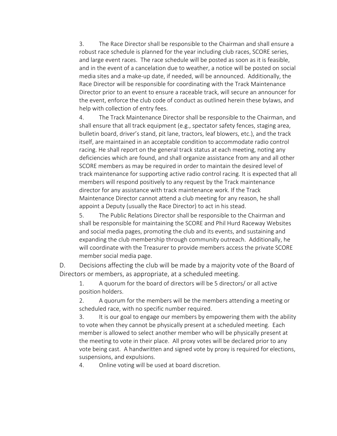3. The Race Director shall be responsible to the Chairman and shall ensure a robust race schedule is planned for the year including club races, SCORE series, and large event races. The race schedule will be posted as soon as it is feasible, and in the event of a cancelation due to weather, a notice will be posted on social media sites and a make-up date, if needed, will be announced. Additionally, the Race Director will be responsible for coordinating with the Track Maintenance Director prior to an event to ensure a raceable track, will secure an announcer for the event, enforce the club code of conduct as outlined herein these bylaws, and help with collection of entry fees.

4. The Track Maintenance Director shall be responsible to the Chairman, and shall ensure that all track equipment (e.g., spectator safety fences, staging area, bulletin board, driver's stand, pit lane, tractors, leaf blowers, etc.), and the track itself, are maintained in an acceptable condition to accommodate radio control racing. He shall report on the general track status at each meeting, noting any deficiencies which are found, and shall organize assistance from any and all other SCORE members as may be required in order to maintain the desired level of track maintenance for supporting active radio control racing. It is expected that all members will respond positively to any request by the Track maintenance director for any assistance with track maintenance work. If the Track Maintenance Director cannot attend a club meeting for any reason, he shall appoint a Deputy (usually the Race Director) to act in his stead.

5. The Public Relations Director shall be responsible to the Chairman and shall be responsible for maintaining the SCORE and Phil Hurd Raceway Websites and social media pages, promoting the club and its events, and sustaining and expanding the club membership through community outreach. Additionally, he will coordinate with the Treasurer to provide members access the private SCORE member social media page.

D. Decisions affecting the club will be made by a majority vote of the Board of Directors or members, as appropriate, at a scheduled meeting.

1. A quorum for the board of directors will be 5 directors/ or all active position holders.

2. A quorum for the members will be the members attending a meeting or scheduled race, with no specific number required.

3. It is our goal to engage our members by empowering them with the ability to vote when they cannot be physically present at a scheduled meeting. Each member is allowed to select another member who will be physically present at the meeting to vote in their place. All proxy votes will be declared prior to any vote being cast. A handwritten and signed vote by proxy is required for elections, suspensions, and expulsions.

4. Online voting will be used at board discretion.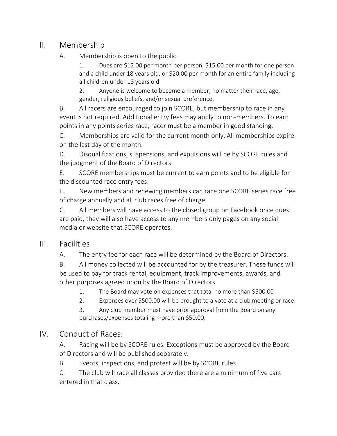# II. Membership

#### A. Membership is open to the public.

1. Dues are \$12.00 per month per person, \$15.00 per month for one person and a child under 18 years old, or \$20.00 per month for an entire family including all children under 18 years old.

2. Anyone is welcome to become a member, no matter their race, age, gender, religious beliefs, and/or sexual preference.

B. All racers are encouraged to join SCORE, but membership to race in any event is not required. Additional entry fees may apply to non-members. To earn points in any points series race, racer must be a member in good standing.

C. Memberships are valid for the current month only. All memberships expire on the last day of the month.

D. Disqualifications, suspensions, and expulsions will be by SCORE rules and the judgment of the Board of Directors.

E. SCORE memberships must be current to earn points and to be eligible for the discounted race entry fees.

F. New members and renewing members can race one SCORE series race free of charge annually and all club races free of charge.

G. All members will have access to the closed group on Facebook once dues are paid, they will also have access to any members only pages on any social media or website that SCORE operates.

### III. Facilities

A. The entry fee for each race will be determined by the Board of Directors.

B. All money collected will be accounted for by the treasurer. These funds will be used to pay for track rental, equipment, track improvements, awards, and other purposes agreed upon by the Board of Directors.

1. The Board may vote on expenses that total no more than \$500.00

2. Expenses over \$500.00 will be brought to a vote at a club meeting or race.

3. Any club member must have prior approval from the Board on any purchases/expenses totaling more than \$50.00.

# IV. Conduct of Races:

A. Racing will be by SCORE rules. Exceptions must be approved by the Board of Directors and will be published separately.

B. Events, inspections, and protest will be by SCORE rules.

C. The club will race all classes provided there are a minimum of five cars entered in that class.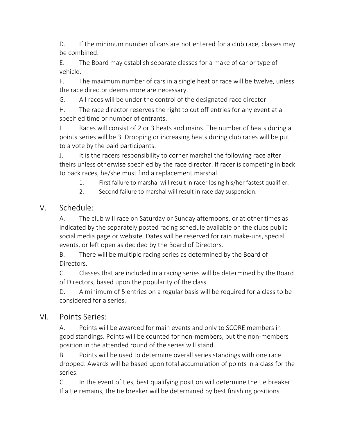D. If the minimum number of cars are not entered for a club race, classes may be combined.

E. The Board may establish separate classes for a make of car or type of vehicle.

F. The maximum number of cars in a single heat or race will be twelve, unless the race director deems more are necessary.

G. All races will be under the control of the designated race director.

H. The race director reserves the right to cut off entries for any event at a specified time or number of entrants.

I. Races will consist of 2 or 3 heats and mains. The number of heats during a points series will be 3. Dropping or increasing heats during club races will be put to a vote by the paid participants.

J. It is the racers responsibility to corner marshal the following race after theirs unless otherwise specified by the race director. If racer is competing in back to back races, he/she must find a replacement marshal.

- 1. First failure to marshal will result in racer losing his/her fastest qualifier.
- 2. Second failure to marshal will result in race day suspension.

## V. Schedule:

A. The club will race on Saturday or Sunday afternoons, or at other times as indicated by the separately posted racing schedule available on the clubs public social media page or website. Dates will be reserved for rain make-ups, special events, or left open as decided by the Board of Directors.

B. There will be multiple racing series as determined by the Board of Directors.

C. Classes that are included in a racing series will be determined by the Board of Directors, based upon the popularity of the class.

D. A minimum of 5 entries on a regular basis will be required for a class to be considered for a series.

### VI. Points Series:

A. Points will be awarded for main events and only to SCORE members in good standings. Points will be counted for non-members, but the non-members position in the attended round of the series will stand.

B. Points will be used to determine overall series standings with one race dropped. Awards will be based upon total accumulation of points in a class for the series.

C. In the event of ties, best qualifying position will determine the tie breaker. If a tie remains, the tie breaker will be determined by best finishing positions.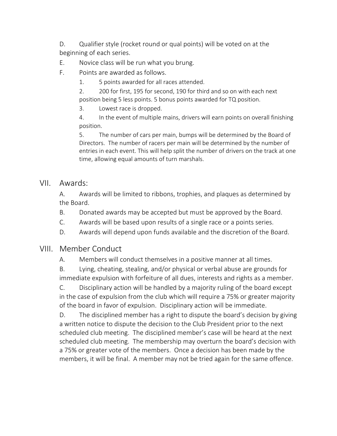D. Qualifier style (rocket round or qual points) will be voted on at the beginning of each series.

E. Novice class will be run what you brung.

F. Points are awarded as follows.

1. 5 points awarded for all races attended.

2. 200 for first, 195 for second, 190 for third and so on with each next position being 5 less points. 5 bonus points awarded for TQ position.

3. Lowest race is dropped.

4. In the event of multiple mains, drivers will earn points on overall finishing position.

5. The number of cars per main, bumps will be determined by the Board of Directors. The number of racers per main will be determined by the number of entries in each event. This will help split the number of drivers on the track at one time, allowing equal amounts of turn marshals.

#### VII. Awards:

A. Awards will be limited to ribbons, trophies, and plaques as determined by the Board.

B. Donated awards may be accepted but must be approved by the Board.

C. Awards will be based upon results of a single race or a points series.

D. Awards will depend upon funds available and the discretion of the Board.

### VIII. Member Conduct

A. Members will conduct themselves in a positive manner at all times.

B. Lying, cheating, stealing, and/or physical or verbal abuse are grounds for immediate expulsion with forfeiture of all dues, interests and rights as a member.

C. Disciplinary action will be handled by a majority ruling of the board except in the case of expulsion from the club which will require a 75% or greater majority of the board in favor of expulsion. Disciplinary action will be immediate.

D. The disciplined member has a right to dispute the board's decision by giving a written notice to dispute the decision to the Club President prior to the next scheduled club meeting. The disciplined member's case will be heard at the next scheduled club meeting. The membership may overturn the board's decision with a 75% or greater vote of the members. Once a decision has been made by the members, it will be final. A member may not be tried again for the same offence.